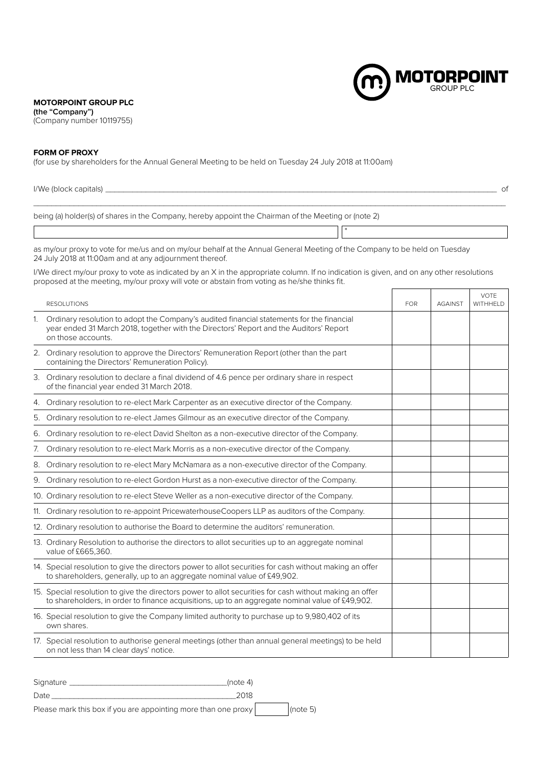## **MOTORPOINT GROUP PLC**

**(the "Company")** (Company number 10119755)

## **FORM OF PROXY**

(for use by shareholders for the Annual General Meeting to be held on Tuesday 24 July 2018 at 11:00am)

| $I/We$ (block capitals) $\frac{1}{2}$<br>0f |                                                                                                                                                                                                                                          |            |                |                         |  |  |
|---------------------------------------------|------------------------------------------------------------------------------------------------------------------------------------------------------------------------------------------------------------------------------------------|------------|----------------|-------------------------|--|--|
|                                             | being (a) holder(s) of shares in the Company, hereby appoint the Chairman of the Meeting or (note 2)                                                                                                                                     |            |                |                         |  |  |
|                                             |                                                                                                                                                                                                                                          |            |                |                         |  |  |
|                                             | as my/our proxy to vote for me/us and on my/our behalf at the Annual General Meeting of the Company to be held on Tuesday<br>24 July 2018 at 11:00am and at any adjournment thereof.                                                     |            |                |                         |  |  |
|                                             | I/We direct my/our proxy to vote as indicated by an X in the appropriate column. If no indication is given, and on any other resolutions<br>proposed at the meeting, my/our proxy will vote or abstain from voting as he/she thinks fit. |            |                |                         |  |  |
|                                             | <b>RESOLUTIONS</b>                                                                                                                                                                                                                       | <b>FOR</b> | <b>AGAINST</b> | <b>VOTE</b><br>WITHHELD |  |  |
|                                             | 1. Ordinary resolution to adopt the Company's audited financial statements for the financial<br>year ended 31 March 2018, together with the Directors' Report and the Auditors' Report<br>on those accounts.                             |            |                |                         |  |  |
|                                             | 2. Ordinary resolution to approve the Directors' Remuneration Report (other than the part<br>containing the Directors' Remuneration Policy).                                                                                             |            |                |                         |  |  |
|                                             | 3. Ordinary resolution to declare a final dividend of 4.6 pence per ordinary share in respect<br>of the financial year ended 31 March 2018.                                                                                              |            |                |                         |  |  |
| 4.                                          | Ordinary resolution to re-elect Mark Carpenter as an executive director of the Company.                                                                                                                                                  |            |                |                         |  |  |
| 5.                                          | Ordinary resolution to re-elect James Gilmour as an executive director of the Company.                                                                                                                                                   |            |                |                         |  |  |
| 6.                                          | Ordinary resolution to re-elect David Shelton as a non-executive director of the Company.                                                                                                                                                |            |                |                         |  |  |
| 7.                                          | Ordinary resolution to re-elect Mark Morris as a non-executive director of the Company.                                                                                                                                                  |            |                |                         |  |  |
|                                             | 8. Ordinary resolution to re-elect Mary McNamara as a non-executive director of the Company.                                                                                                                                             |            |                |                         |  |  |
|                                             | 9. Ordinary resolution to re-elect Gordon Hurst as a non-executive director of the Company.                                                                                                                                              |            |                |                         |  |  |
|                                             | 10. Ordinary resolution to re-elect Steve Weller as a non-executive director of the Company.                                                                                                                                             |            |                |                         |  |  |
|                                             | 11. Ordinary resolution to re-appoint PricewaterhouseCoopers LLP as auditors of the Company.                                                                                                                                             |            |                |                         |  |  |
|                                             | 12. Ordinary resolution to authorise the Board to determine the auditors' remuneration.                                                                                                                                                  |            |                |                         |  |  |
|                                             | 13. Ordinary Resolution to authorise the directors to allot securities up to an aggregate nominal<br>value of £665,360.                                                                                                                  |            |                |                         |  |  |
|                                             | 14. Special resolution to give the directors power to allot securities for cash without making an offer<br>to shareholders, generally, up to an aggregate nominal value of £49,902.                                                      |            |                |                         |  |  |
|                                             | 15. Special resolution to give the directors power to allot securities for cash without making an offer<br>to shareholders, in order to finance acquisitions, up to an aggregate nominal value of £49,902.                               |            |                |                         |  |  |
|                                             | 16. Special resolution to give the Company limited authority to purchase up to 9,980,402 of its<br>own shares.                                                                                                                           |            |                |                         |  |  |
|                                             | 17. Special resolution to authorise general meetings (other than annual general meetings) to be held<br>on not less than 14 clear days' notice.                                                                                          |            |                |                         |  |  |

**MOTORPOINT** 

T

| Signature | (note 4)                                                       |              |
|-----------|----------------------------------------------------------------|--------------|
| Date      | 2018                                                           |              |
|           | Please mark this box if you are appointing more than one proxy | $ $ (note 5) |